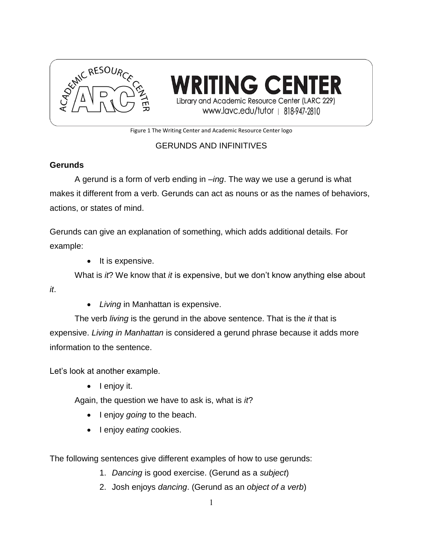

**TING CENT** Library and Academic Resource Center (LARC 229) www.lavc.edu/tutor | 818-947-2810

Figure 1 The Writing Center and Academic Resource Center logo

# GERUNDS AND INFINITIVES

## **Gerunds**

A gerund is a form of verb ending in *–ing*. The way we use a gerund is what makes it different from a verb. Gerunds can act as nouns or as the names of behaviors, actions, or states of mind.

Gerunds can give an explanation of something, which adds additional details. For example:

 $\bullet$  It is expensive.

What is *it*? We know that *it* is expensive, but we don't know anything else about

*it*.

*Living* in Manhattan is expensive.

The verb *living* is the gerund in the above sentence. That is the *it* that is expensive. *Living in Manhattan* is considered a gerund phrase because it adds more information to the sentence.

Let's look at another example.

 $\bullet$  lenjoy it.

Again, the question we have to ask is, what is *it*?

- I enjoy *going* to the beach.
- **I** enjoy *eating* cookies.

The following sentences give different examples of how to use gerunds:

- 1. *Dancing* is good exercise. (Gerund as a *subject*)
- 2. Josh enjoys *dancing*. (Gerund as an *object of a verb*)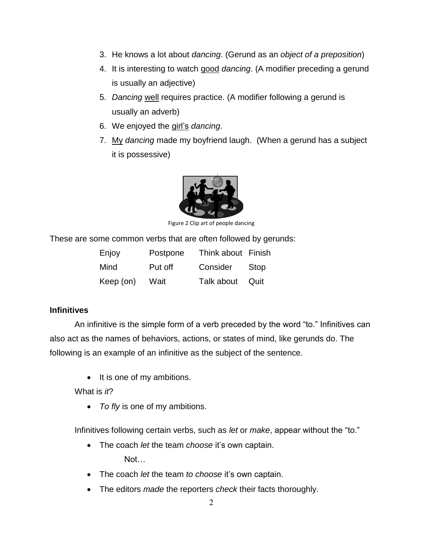- 3. He knows a lot about *dancing*. (Gerund as an *object of a preposition*)
- 4. It is interesting to watch good *dancing*. (A modifier preceding a gerund is usually an adjective)
- 5. *Dancing* well requires practice. (A modifier following a gerund is usually an adverb)
- 6. We enjoyed the girl's *dancing*.
- 7. My *dancing* made my boyfriend laugh. (When a gerund has a subject it is possessive)



Figure 2 Clip art of people dancing

These are some common verbs that are often followed by gerunds:

| Enjoy     | Postpone | Think about Finish |        |
|-----------|----------|--------------------|--------|
| Mind      | Put off  | Consider           | Stop   |
| Keep (on) | Wait     | Talk about         | - Quit |

### **Infinitives**

An infinitive is the simple form of a verb preceded by the word "to." Infinitives can also act as the names of behaviors, actions, or states of mind, like gerunds do. The following is an example of an infinitive as the subject of the sentence.

• It is one of my ambitions.

What is *it*?

*To fly* is one of my ambitions.

Infinitives following certain verbs, such as *let* or *make*, appear without the "to."

- The coach *let* the team *choose* it's own captain. Not…
- The coach *let* the team *to choose* it's own captain.
- The editors *made* the reporters *check* their facts thoroughly.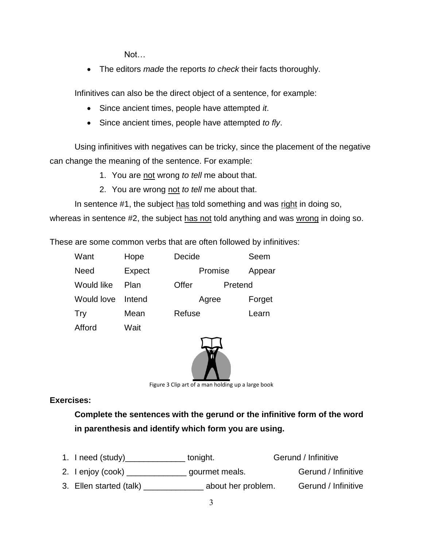Not…

The editors *made* the reports *to check* their facts thoroughly.

Infinitives can also be the direct object of a sentence, for example:

- Since ancient times, people have attempted *it*.
- Since ancient times, people have attempted *to fly*.

Using infinitives with negatives can be tricky, since the placement of the negative can change the meaning of the sentence. For example:

- 1. You are not wrong *to tell* me about that.
- 2. You are wrong not *to tell* me about that.

In sentence #1, the subject has told something and was right in doing so,

whereas in sentence #2, the subject has not told anything and was wrong in doing so.

These are some common verbs that are often followed by infinitives:

| Hope   |       |         | Seem             |
|--------|-------|---------|------------------|
| Expect |       | Promise | Appear           |
| Plan   | Offer | Pretend |                  |
| Intend |       | Agree   | Forget           |
| Mean   |       |         | Learn            |
|        |       |         | Decide<br>Refuse |



Figure 3 Clip art of a man holding up a large book

**Exercises:**

Afford Wait

**Complete the sentences with the gerund or the infinitive form of the word in parenthesis and identify which form you are using.** 

- 1. I need (study)\_\_\_\_\_\_\_\_\_\_\_\_\_\_\_\_ tonight. Gerund / Infinitive 2. I enjoy (cook) example a gourmet meals. Gerund / Infinitive
- 3. Ellen started (talk) about her problem. Gerund / Infinitive